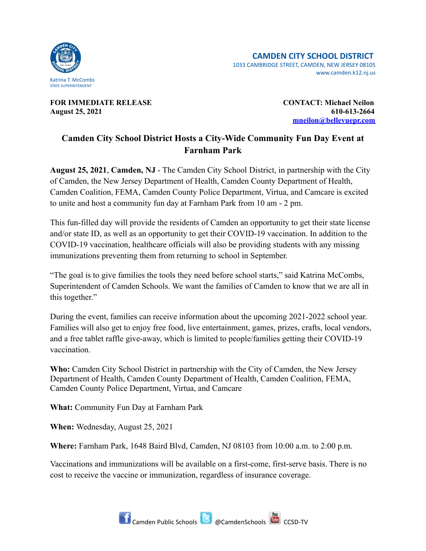

**FOR IMMEDIATE RELEASE CONTACT: Michael Neilon August 25, 2021 610-613-2664**

**[mneilon@bellevuepr.com](mailto:mneilon@bellevuepr.com)**

## **Camden City School District Hosts a City-Wide Community Fun Day Event at Farnham Park**

**August 25, 2021**, **Camden, NJ** - The Camden City School District, in partnership with the City of Camden, the New Jersey Department of Health, Camden County Department of Health, Camden Coalition, FEMA, Camden County Police Department, Virtua, and Camcare is excited to unite and host a community fun day at Farnham Park from 10 am - 2 pm.

This fun-filled day will provide the residents of Camden an opportunity to get their state license and/or state ID, as well as an opportunity to get their COVID-19 vaccination. In addition to the COVID-19 vaccination, healthcare officials will also be providing students with any missing immunizations preventing them from returning to school in September.

"The goal is to give families the tools they need before school starts," said Katrina McCombs, Superintendent of Camden Schools. We want the families of Camden to know that we are all in this together."

During the event, families can receive information about the upcoming 2021-2022 school year. Families will also get to enjoy free food, live entertainment, games, prizes, crafts, local vendors, and a free tablet raffle give-away, which is limited to people/families getting their COVID-19 vaccination.

**Who:** Camden City School District in partnership with the City of Camden, the New Jersey Department of Health, Camden County Department of Health, Camden Coalition, FEMA, Camden County Police Department, Virtua, and Camcare

**What:** Community Fun Day at Farnham Park

**When:** Wednesday, August 25, 2021

**Where:** Farnham Park, 1648 Baird Blvd, Camden, NJ 08103 from 10:00 a.m. to 2:00 p.m.

Vaccinations and immunizations will be available on a first-come, first-serve basis. There is no cost to receive the vaccine or immunization, regardless of insurance coverage.